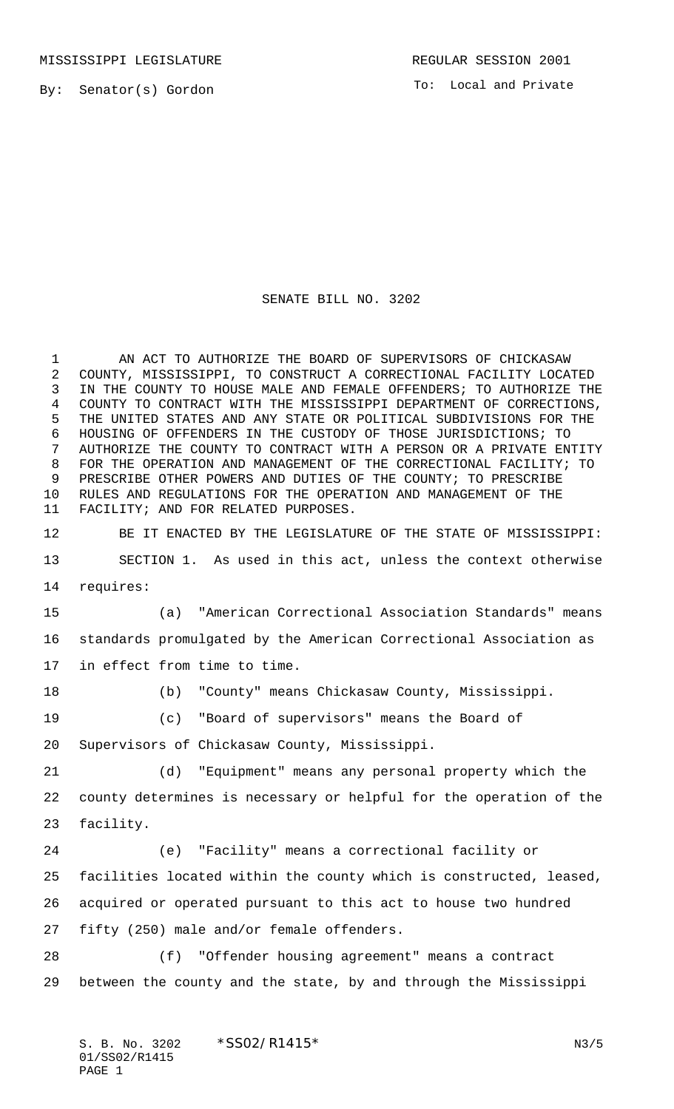To: Local and Private

## SENATE BILL NO. 3202

 AN ACT TO AUTHORIZE THE BOARD OF SUPERVISORS OF CHICKASAW COUNTY, MISSISSIPPI, TO CONSTRUCT A CORRECTIONAL FACILITY LOCATED IN THE COUNTY TO HOUSE MALE AND FEMALE OFFENDERS; TO AUTHORIZE THE COUNTY TO CONTRACT WITH THE MISSISSIPPI DEPARTMENT OF CORRECTIONS, THE UNITED STATES AND ANY STATE OR POLITICAL SUBDIVISIONS FOR THE HOUSING OF OFFENDERS IN THE CUSTODY OF THOSE JURISDICTIONS; TO AUTHORIZE THE COUNTY TO CONTRACT WITH A PERSON OR A PRIVATE ENTITY FOR THE OPERATION AND MANAGEMENT OF THE CORRECTIONAL FACILITY; TO PRESCRIBE OTHER POWERS AND DUTIES OF THE COUNTY; TO PRESCRIBE RULES AND REGULATIONS FOR THE OPERATION AND MANAGEMENT OF THE FACILITY; AND FOR RELATED PURPOSES.

BE IT ENACTED BY THE LEGISLATURE OF THE STATE OF MISSISSIPPI:

 SECTION 1. As used in this act, unless the context otherwise requires:

 (a) "American Correctional Association Standards" means standards promulgated by the American Correctional Association as in effect from time to time.

(b) "County" means Chickasaw County, Mississippi.

(c) "Board of supervisors" means the Board of

Supervisors of Chickasaw County, Mississippi.

 (d) "Equipment" means any personal property which the county determines is necessary or helpful for the operation of the facility.

 (e) "Facility" means a correctional facility or facilities located within the county which is constructed, leased, acquired or operated pursuant to this act to house two hundred fifty (250) male and/or female offenders.

 (f) "Offender housing agreement" means a contract between the county and the state, by and through the Mississippi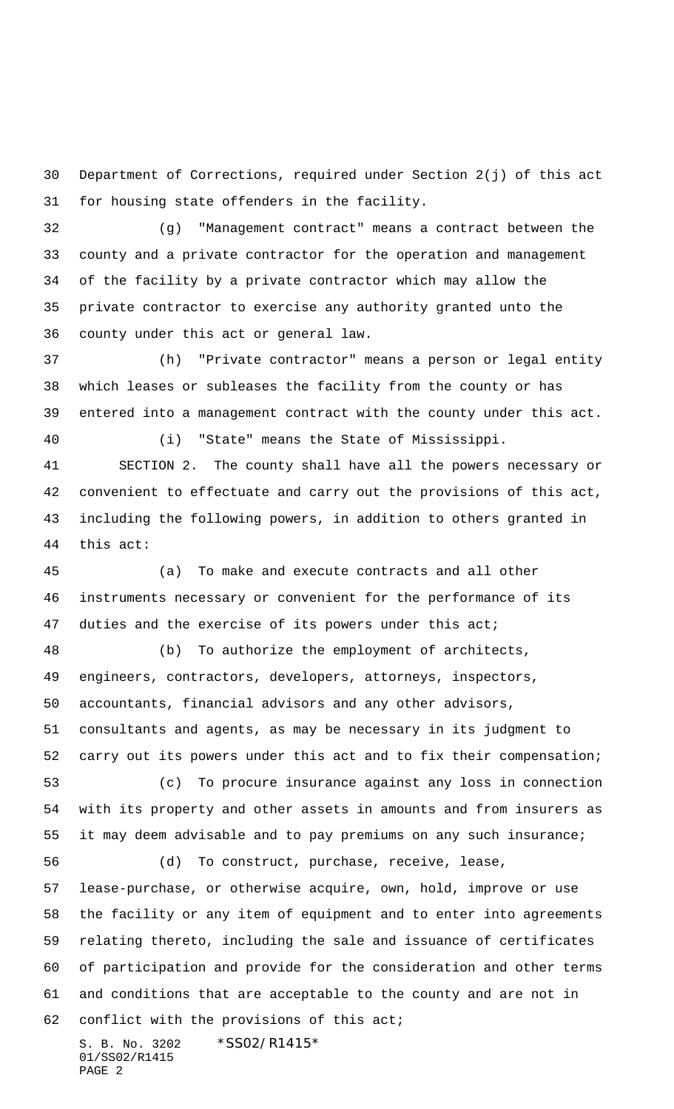Department of Corrections, required under Section 2(j) of this act for housing state offenders in the facility.

 (g) "Management contract" means a contract between the county and a private contractor for the operation and management of the facility by a private contractor which may allow the private contractor to exercise any authority granted unto the county under this act or general law.

 (h) "Private contractor" means a person or legal entity which leases or subleases the facility from the county or has entered into a management contract with the county under this act. (i) "State" means the State of Mississippi.

 SECTION 2. The county shall have all the powers necessary or convenient to effectuate and carry out the provisions of this act, including the following powers, in addition to others granted in this act:

 (a) To make and execute contracts and all other instruments necessary or convenient for the performance of its duties and the exercise of its powers under this act;

 (b) To authorize the employment of architects, engineers, contractors, developers, attorneys, inspectors, accountants, financial advisors and any other advisors, consultants and agents, as may be necessary in its judgment to carry out its powers under this act and to fix their compensation; (c) To procure insurance against any loss in connection

 with its property and other assets in amounts and from insurers as it may deem advisable and to pay premiums on any such insurance;

 (d) To construct, purchase, receive, lease, lease-purchase, or otherwise acquire, own, hold, improve or use the facility or any item of equipment and to enter into agreements relating thereto, including the sale and issuance of certificates of participation and provide for the consideration and other terms and conditions that are acceptable to the county and are not in conflict with the provisions of this act;

S. B. No. 3202 \* SS02/R1415 \* 01/SS02/R1415 PAGE 2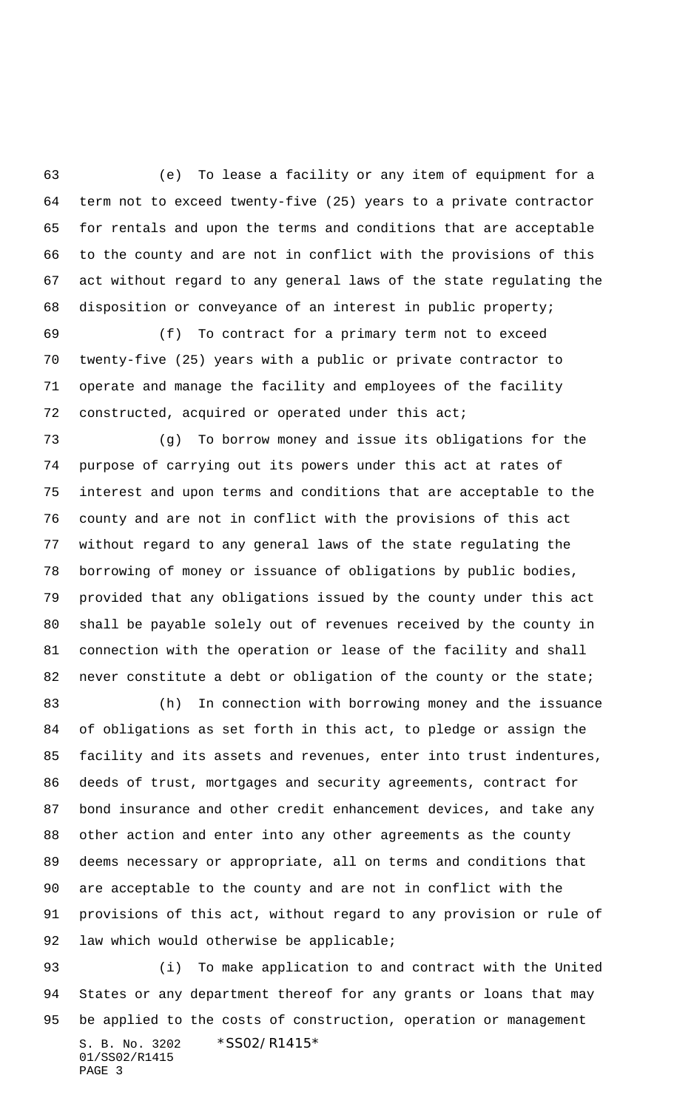(e) To lease a facility or any item of equipment for a term not to exceed twenty-five (25) years to a private contractor for rentals and upon the terms and conditions that are acceptable to the county and are not in conflict with the provisions of this act without regard to any general laws of the state regulating the disposition or conveyance of an interest in public property;

 (f) To contract for a primary term not to exceed twenty-five (25) years with a public or private contractor to operate and manage the facility and employees of the facility constructed, acquired or operated under this act;

 (g) To borrow money and issue its obligations for the purpose of carrying out its powers under this act at rates of interest and upon terms and conditions that are acceptable to the county and are not in conflict with the provisions of this act without regard to any general laws of the state regulating the borrowing of money or issuance of obligations by public bodies, provided that any obligations issued by the county under this act shall be payable solely out of revenues received by the county in connection with the operation or lease of the facility and shall 82 never constitute a debt or obligation of the county or the state;

 (h) In connection with borrowing money and the issuance of obligations as set forth in this act, to pledge or assign the facility and its assets and revenues, enter into trust indentures, deeds of trust, mortgages and security agreements, contract for bond insurance and other credit enhancement devices, and take any other action and enter into any other agreements as the county deems necessary or appropriate, all on terms and conditions that are acceptable to the county and are not in conflict with the provisions of this act, without regard to any provision or rule of 92 law which would otherwise be applicable;

S. B. No. 3202 \* SS02/R1415\* (i) To make application to and contract with the United States or any department thereof for any grants or loans that may be applied to the costs of construction, operation or management

01/SS02/R1415 PAGE 3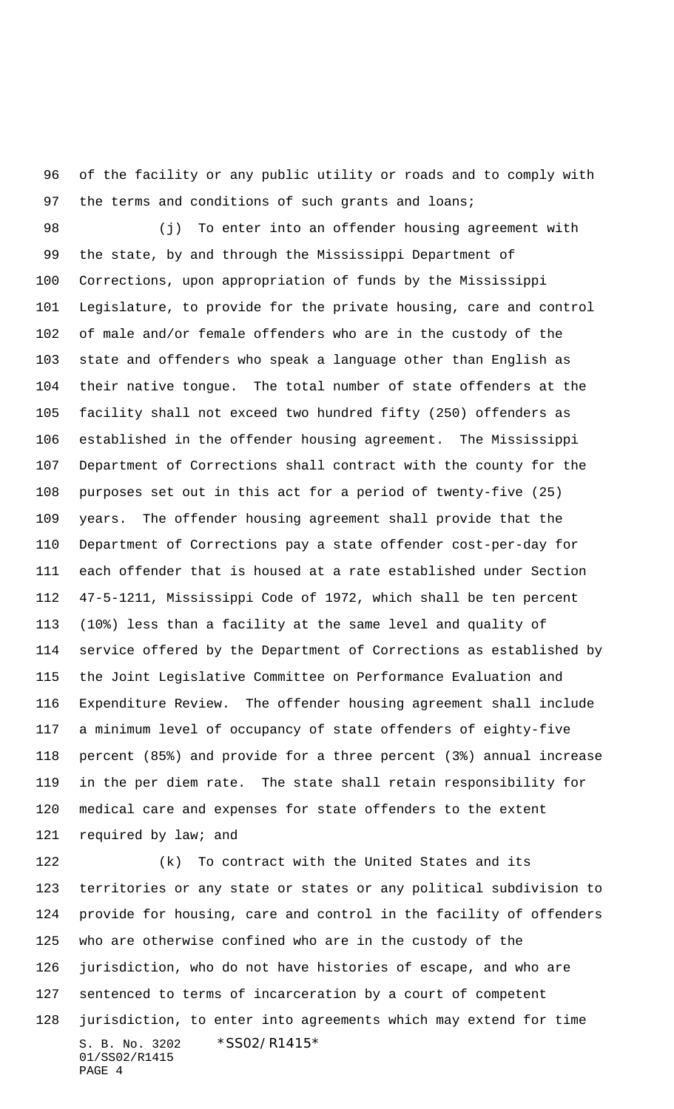of the facility or any public utility or roads and to comply with 97 the terms and conditions of such grants and loans;

 (j) To enter into an offender housing agreement with the state, by and through the Mississippi Department of Corrections, upon appropriation of funds by the Mississippi Legislature, to provide for the private housing, care and control of male and/or female offenders who are in the custody of the state and offenders who speak a language other than English as their native tongue. The total number of state offenders at the facility shall not exceed two hundred fifty (250) offenders as established in the offender housing agreement. The Mississippi Department of Corrections shall contract with the county for the purposes set out in this act for a period of twenty-five (25) years. The offender housing agreement shall provide that the Department of Corrections pay a state offender cost-per-day for each offender that is housed at a rate established under Section 47-5-1211, Mississippi Code of 1972, which shall be ten percent (10%) less than a facility at the same level and quality of service offered by the Department of Corrections as established by the Joint Legislative Committee on Performance Evaluation and Expenditure Review. The offender housing agreement shall include a minimum level of occupancy of state offenders of eighty-five percent (85%) and provide for a three percent (3%) annual increase in the per diem rate. The state shall retain responsibility for medical care and expenses for state offenders to the extent 121 required by law; and

S. B. No. 3202 \*SS02/R1415\* 01/SS02/R1415 PAGE 4 (k) To contract with the United States and its territories or any state or states or any political subdivision to provide for housing, care and control in the facility of offenders who are otherwise confined who are in the custody of the jurisdiction, who do not have histories of escape, and who are sentenced to terms of incarceration by a court of competent jurisdiction, to enter into agreements which may extend for time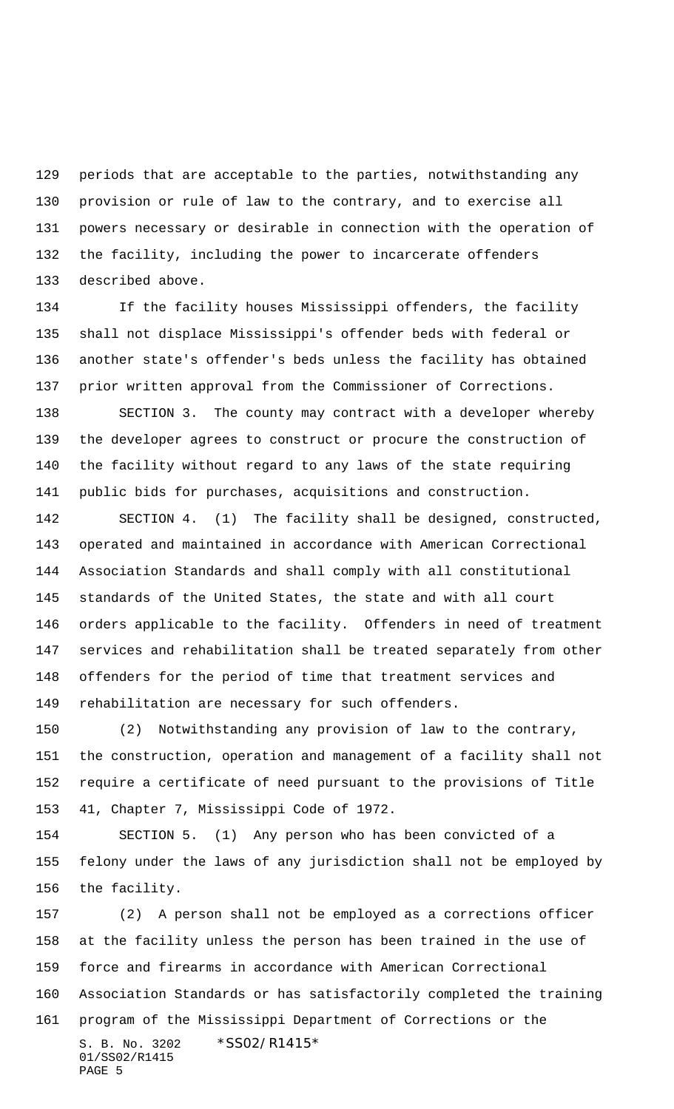periods that are acceptable to the parties, notwithstanding any provision or rule of law to the contrary, and to exercise all powers necessary or desirable in connection with the operation of the facility, including the power to incarcerate offenders described above.

 If the facility houses Mississippi offenders, the facility shall not displace Mississippi's offender beds with federal or another state's offender's beds unless the facility has obtained prior written approval from the Commissioner of Corrections.

 SECTION 3. The county may contract with a developer whereby the developer agrees to construct or procure the construction of the facility without regard to any laws of the state requiring public bids for purchases, acquisitions and construction.

 SECTION 4. (1) The facility shall be designed, constructed, operated and maintained in accordance with American Correctional Association Standards and shall comply with all constitutional standards of the United States, the state and with all court orders applicable to the facility. Offenders in need of treatment services and rehabilitation shall be treated separately from other offenders for the period of time that treatment services and rehabilitation are necessary for such offenders.

 (2) Notwithstanding any provision of law to the contrary, the construction, operation and management of a facility shall not require a certificate of need pursuant to the provisions of Title 41, Chapter 7, Mississippi Code of 1972.

 SECTION 5. (1) Any person who has been convicted of a felony under the laws of any jurisdiction shall not be employed by the facility.

S. B. No. 3202 \* SS02/R1415 \* 01/SS02/R1415 PAGE 5 (2) A person shall not be employed as a corrections officer at the facility unless the person has been trained in the use of force and firearms in accordance with American Correctional Association Standards or has satisfactorily completed the training program of the Mississippi Department of Corrections or the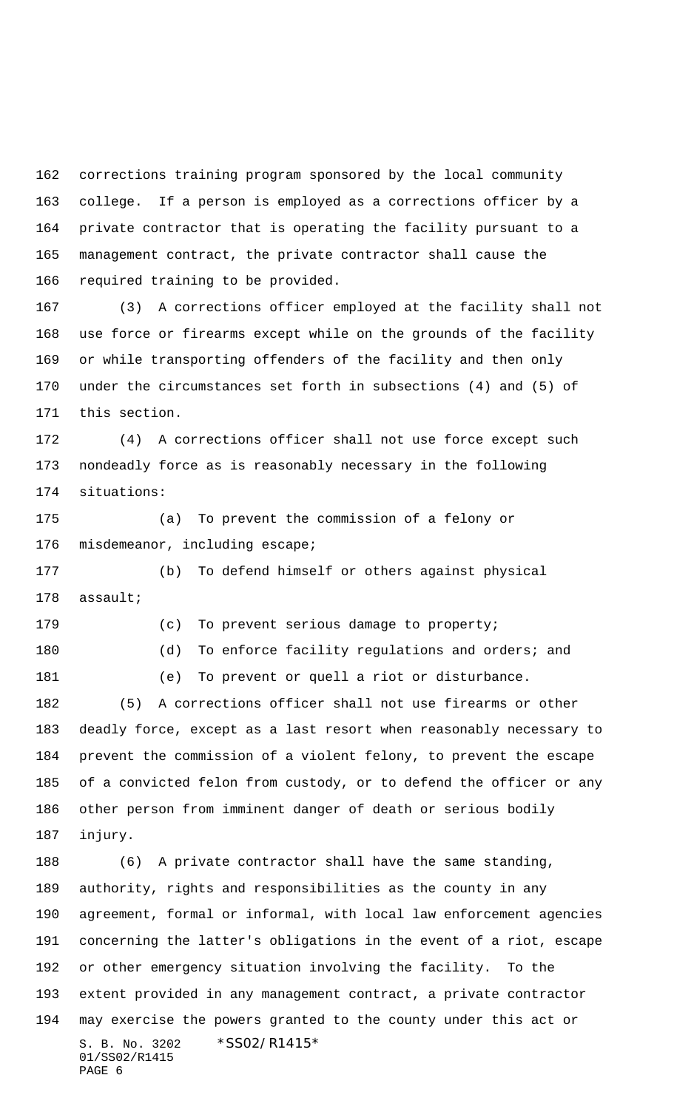corrections training program sponsored by the local community college. If a person is employed as a corrections officer by a private contractor that is operating the facility pursuant to a management contract, the private contractor shall cause the required training to be provided.

 (3) A corrections officer employed at the facility shall not use force or firearms except while on the grounds of the facility or while transporting offenders of the facility and then only under the circumstances set forth in subsections (4) and (5) of this section.

 (4) A corrections officer shall not use force except such nondeadly force as is reasonably necessary in the following situations:

 (a) To prevent the commission of a felony or misdemeanor, including escape;

 (b) To defend himself or others against physical assault;

(c) To prevent serious damage to property;

180 (d) To enforce facility regulations and orders; and

(e) To prevent or quell a riot or disturbance.

 (5) A corrections officer shall not use firearms or other deadly force, except as a last resort when reasonably necessary to prevent the commission of a violent felony, to prevent the escape of a convicted felon from custody, or to defend the officer or any other person from imminent danger of death or serious bodily injury.

S. B. No. 3202 \* SS02/R1415\* 01/SS02/R1415 PAGE 6 (6) A private contractor shall have the same standing, authority, rights and responsibilities as the county in any agreement, formal or informal, with local law enforcement agencies concerning the latter's obligations in the event of a riot, escape or other emergency situation involving the facility. To the extent provided in any management contract, a private contractor may exercise the powers granted to the county under this act or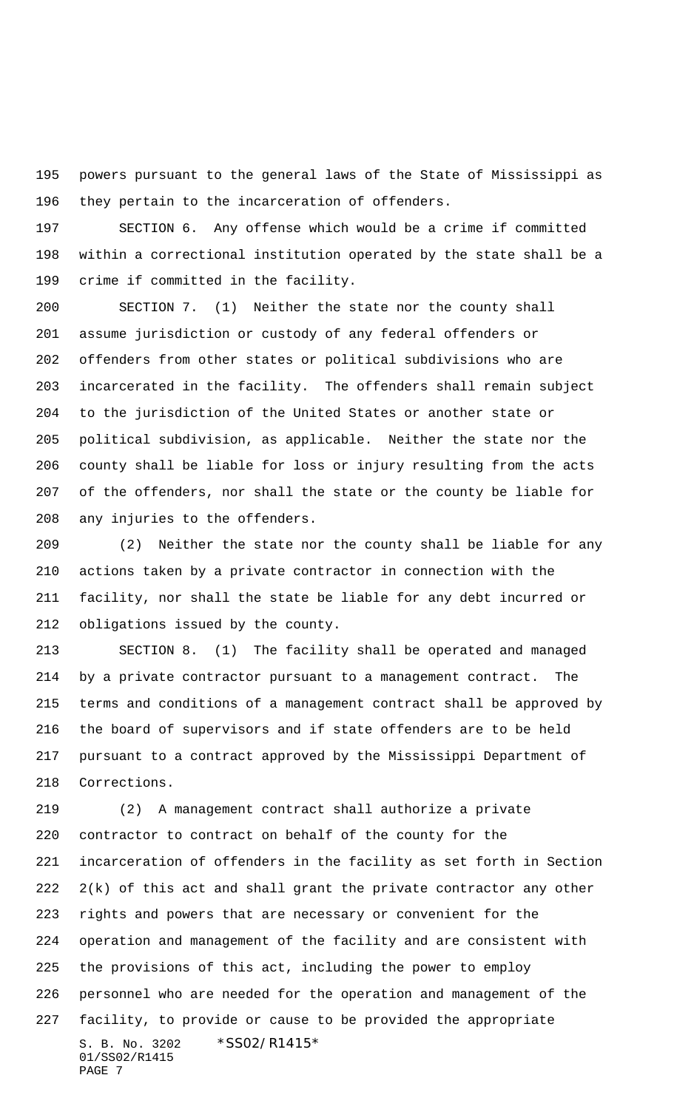powers pursuant to the general laws of the State of Mississippi as they pertain to the incarceration of offenders.

 SECTION 6. Any offense which would be a crime if committed within a correctional institution operated by the state shall be a crime if committed in the facility.

 SECTION 7. (1) Neither the state nor the county shall assume jurisdiction or custody of any federal offenders or offenders from other states or political subdivisions who are incarcerated in the facility. The offenders shall remain subject to the jurisdiction of the United States or another state or political subdivision, as applicable. Neither the state nor the county shall be liable for loss or injury resulting from the acts of the offenders, nor shall the state or the county be liable for any injuries to the offenders.

 (2) Neither the state nor the county shall be liable for any actions taken by a private contractor in connection with the facility, nor shall the state be liable for any debt incurred or obligations issued by the county.

 SECTION 8. (1) The facility shall be operated and managed by a private contractor pursuant to a management contract. The terms and conditions of a management contract shall be approved by the board of supervisors and if state offenders are to be held pursuant to a contract approved by the Mississippi Department of Corrections.

S. B. No. 3202 \*SS02/R1415\* 01/SS02/R1415 PAGE 7 (2) A management contract shall authorize a private contractor to contract on behalf of the county for the incarceration of offenders in the facility as set forth in Section 2(k) of this act and shall grant the private contractor any other rights and powers that are necessary or convenient for the operation and management of the facility and are consistent with the provisions of this act, including the power to employ personnel who are needed for the operation and management of the facility, to provide or cause to be provided the appropriate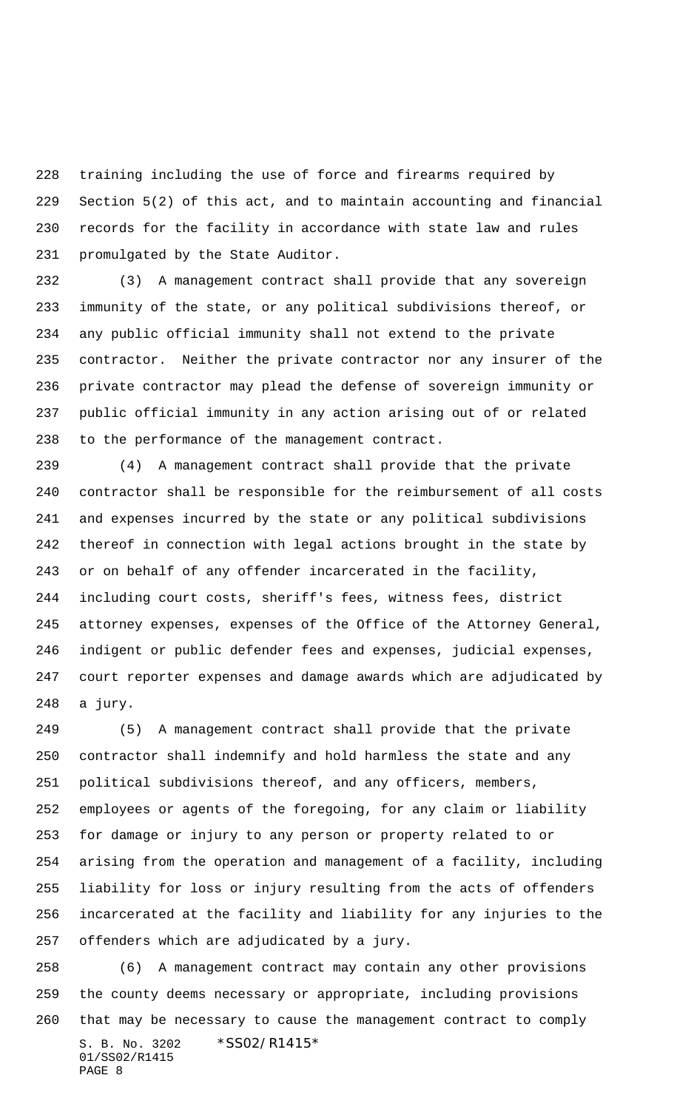training including the use of force and firearms required by Section 5(2) of this act, and to maintain accounting and financial records for the facility in accordance with state law and rules promulgated by the State Auditor.

 (3) A management contract shall provide that any sovereign immunity of the state, or any political subdivisions thereof, or any public official immunity shall not extend to the private contractor. Neither the private contractor nor any insurer of the private contractor may plead the defense of sovereign immunity or public official immunity in any action arising out of or related to the performance of the management contract.

 (4) A management contract shall provide that the private contractor shall be responsible for the reimbursement of all costs and expenses incurred by the state or any political subdivisions thereof in connection with legal actions brought in the state by or on behalf of any offender incarcerated in the facility, including court costs, sheriff's fees, witness fees, district attorney expenses, expenses of the Office of the Attorney General, indigent or public defender fees and expenses, judicial expenses, court reporter expenses and damage awards which are adjudicated by a jury.

 (5) A management contract shall provide that the private contractor shall indemnify and hold harmless the state and any political subdivisions thereof, and any officers, members, employees or agents of the foregoing, for any claim or liability for damage or injury to any person or property related to or arising from the operation and management of a facility, including liability for loss or injury resulting from the acts of offenders incarcerated at the facility and liability for any injuries to the offenders which are adjudicated by a jury.

S. B. No. 3202 \*SS02/R1415\* 01/SS02/R1415 PAGE 8 (6) A management contract may contain any other provisions the county deems necessary or appropriate, including provisions that may be necessary to cause the management contract to comply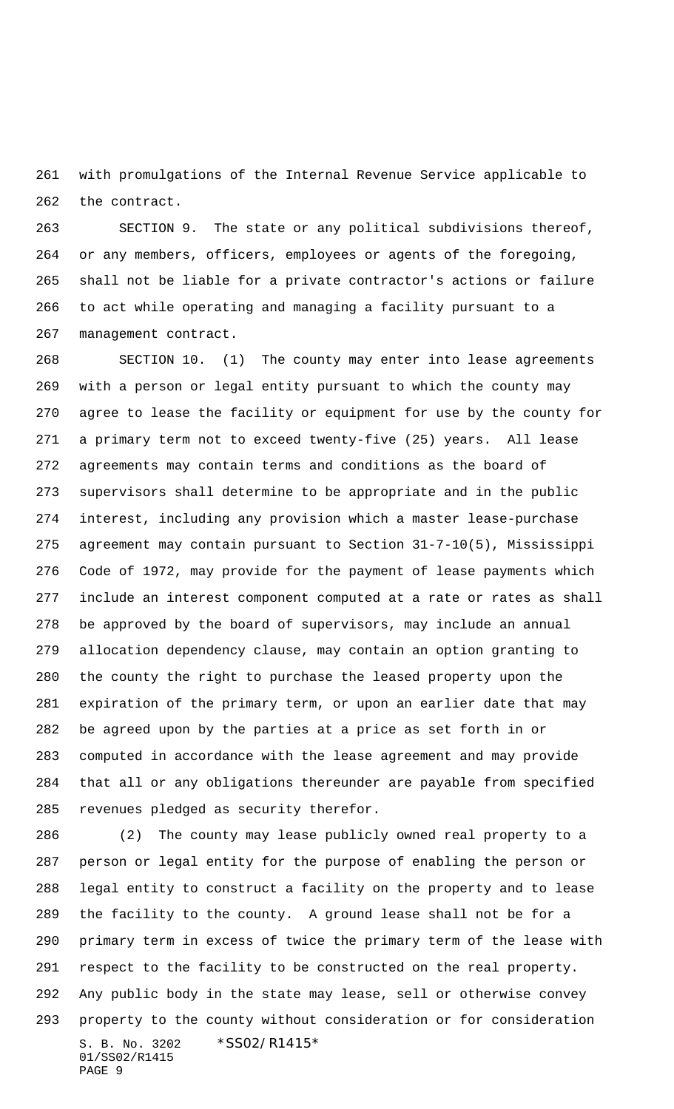with promulgations of the Internal Revenue Service applicable to the contract.

 SECTION 9. The state or any political subdivisions thereof, or any members, officers, employees or agents of the foregoing, shall not be liable for a private contractor's actions or failure to act while operating and managing a facility pursuant to a management contract.

 SECTION 10. (1) The county may enter into lease agreements with a person or legal entity pursuant to which the county may agree to lease the facility or equipment for use by the county for a primary term not to exceed twenty-five (25) years. All lease agreements may contain terms and conditions as the board of supervisors shall determine to be appropriate and in the public interest, including any provision which a master lease-purchase agreement may contain pursuant to Section 31-7-10(5), Mississippi Code of 1972, may provide for the payment of lease payments which include an interest component computed at a rate or rates as shall be approved by the board of supervisors, may include an annual allocation dependency clause, may contain an option granting to the county the right to purchase the leased property upon the expiration of the primary term, or upon an earlier date that may be agreed upon by the parties at a price as set forth in or computed in accordance with the lease agreement and may provide that all or any obligations thereunder are payable from specified revenues pledged as security therefor.

S. B. No. 3202 \*SS02/R1415\* 01/SS02/R1415 PAGE 9 (2) The county may lease publicly owned real property to a person or legal entity for the purpose of enabling the person or legal entity to construct a facility on the property and to lease the facility to the county. A ground lease shall not be for a primary term in excess of twice the primary term of the lease with respect to the facility to be constructed on the real property. Any public body in the state may lease, sell or otherwise convey property to the county without consideration or for consideration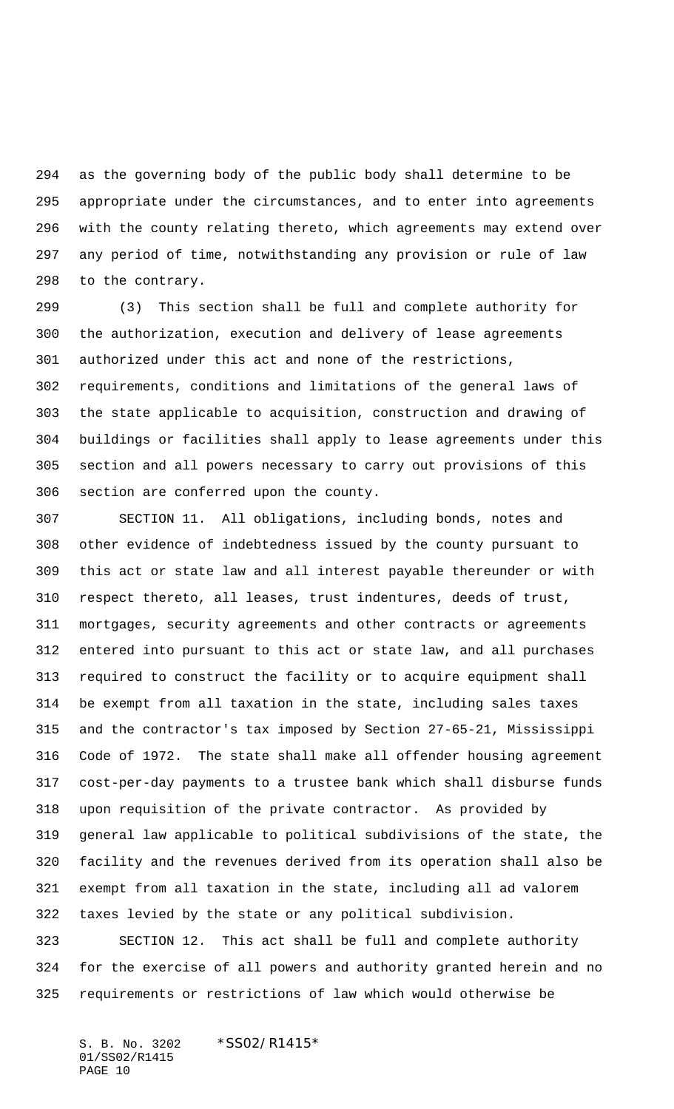as the governing body of the public body shall determine to be appropriate under the circumstances, and to enter into agreements with the county relating thereto, which agreements may extend over any period of time, notwithstanding any provision or rule of law to the contrary.

 (3) This section shall be full and complete authority for the authorization, execution and delivery of lease agreements authorized under this act and none of the restrictions, requirements, conditions and limitations of the general laws of the state applicable to acquisition, construction and drawing of buildings or facilities shall apply to lease agreements under this section and all powers necessary to carry out provisions of this section are conferred upon the county.

 SECTION 11. All obligations, including bonds, notes and other evidence of indebtedness issued by the county pursuant to this act or state law and all interest payable thereunder or with respect thereto, all leases, trust indentures, deeds of trust, mortgages, security agreements and other contracts or agreements entered into pursuant to this act or state law, and all purchases required to construct the facility or to acquire equipment shall be exempt from all taxation in the state, including sales taxes and the contractor's tax imposed by Section 27-65-21, Mississippi Code of 1972. The state shall make all offender housing agreement cost-per-day payments to a trustee bank which shall disburse funds upon requisition of the private contractor. As provided by general law applicable to political subdivisions of the state, the facility and the revenues derived from its operation shall also be exempt from all taxation in the state, including all ad valorem taxes levied by the state or any political subdivision.

 SECTION 12. This act shall be full and complete authority for the exercise of all powers and authority granted herein and no requirements or restrictions of law which would otherwise be

S. B. No. 3202 \* SS02/R1415\* 01/SS02/R1415 PAGE 10